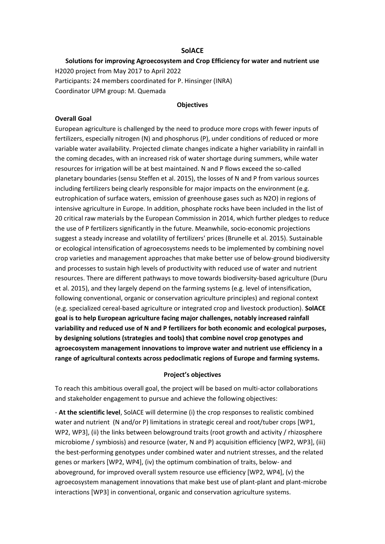### **SolACE**

# **Solutions for improving Agroecosystem and Crop Efficiency for water and nutrient use** H2020 project from May 2017 to April 2022 Participants: 24 members coordinated for P. Hinsinger (INRA) Coordinator UPM group: M. Quemada

#### **Objectives**

## **Overall Goal**

European agriculture is challenged by the need to produce more crops with fewer inputs of fertilizers, especially nitrogen (N) and phosphorus (P), under conditions of reduced or more variable water availability. Projected climate changes indicate a higher variability in rainfall in the coming decades, with an increased risk of water shortage during summers, while water resources for irrigation will be at best maintained. N and P flows exceed the so-called planetary boundaries (sensu Steffen et al. 2015), the losses of N and P from various sources including fertilizers being clearly responsible for major impacts on the environment (e.g. eutrophication of surface waters, emission of greenhouse gases such as N2O) in regions of intensive agriculture in Europe. In addition, phosphate rocks have been included in the list of 20 critical raw materials by the European Commission in 2014, which further pledges to reduce the use of P fertilizers significantly in the future. Meanwhile, socio-economic projections suggest a steady increase and volatility of fertilizers' prices (Brunelle et al. 2015). Sustainable or ecological intensification of agroecosystems needs to be implemented by combining novel crop varieties and management approaches that make better use of below-ground biodiversity and processes to sustain high levels of productivity with reduced use of water and nutrient resources. There are different pathways to move towards biodiversity-based agriculture (Duru et al. 2015), and they largely depend on the farming systems (e.g. level of intensification, following conventional, organic or conservation agriculture principles) and regional context (e.g. specialized cereal-based agriculture or integrated crop and livestock production). **SolACE goal is to help European agriculture facing major challenges, notably increased rainfall variability and reduced use of N and P fertilizers for both economic and ecological purposes, by designing solutions (strategies and tools) that combine novel crop genotypes and agroecosystem management innovations to improve water and nutrient use efficiency in a range of agricultural contexts across pedoclimatic regions of Europe and farming systems.** 

#### **Project's objectives**

To reach this ambitious overall goal, the project will be based on multi-actor collaborations and stakeholder engagement to pursue and achieve the following objectives:

- **At the scientific level**, SolACE will determine (i) the crop responses to realistic combined water and nutrient (N and/or P) limitations in strategic cereal and root/tuber crops [WP1, WP2, WP3], (ii) the links between belowground traits (root growth and activity / rhizosphere microbiome / symbiosis) and resource (water, N and P) acquisition efficiency [WP2, WP3], (iii) the best-performing genotypes under combined water and nutrient stresses, and the related genes or markers [WP2, WP4], (iv) the optimum combination of traits, below- and aboveground, for improved overall system resource use efficiency [WP2, WP4], (v) the agroecosystem management innovations that make best use of plant-plant and plant-microbe interactions [WP3] in conventional, organic and conservation agriculture systems.